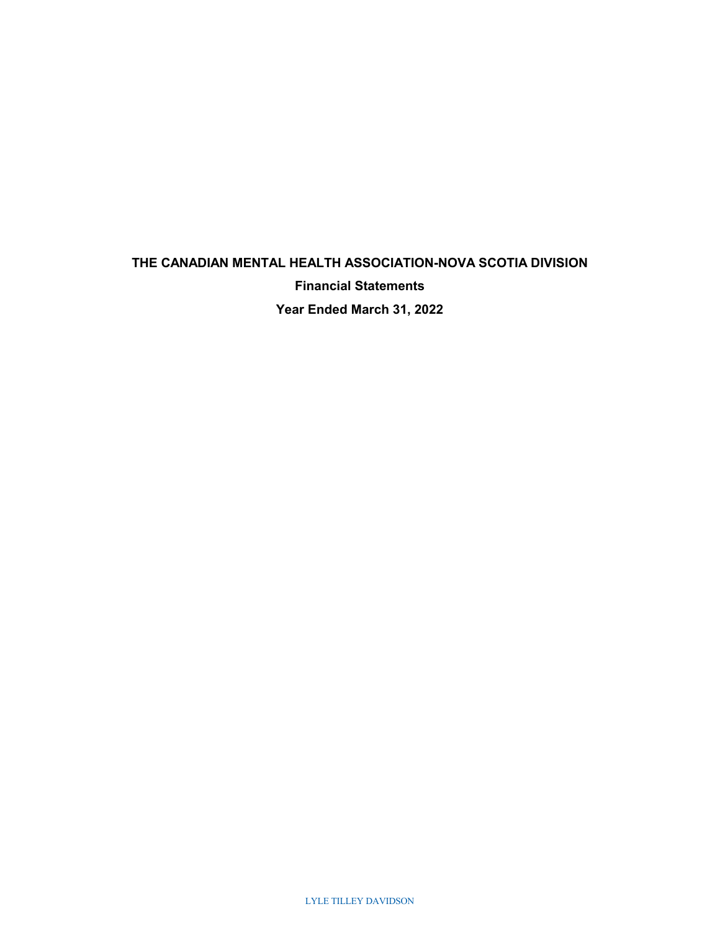# **THE CANADIAN MENTAL HEALTH ASSOCIATION-NOVA SCOTIA DIVISION Financial Statements Year Ended March 31, 2022**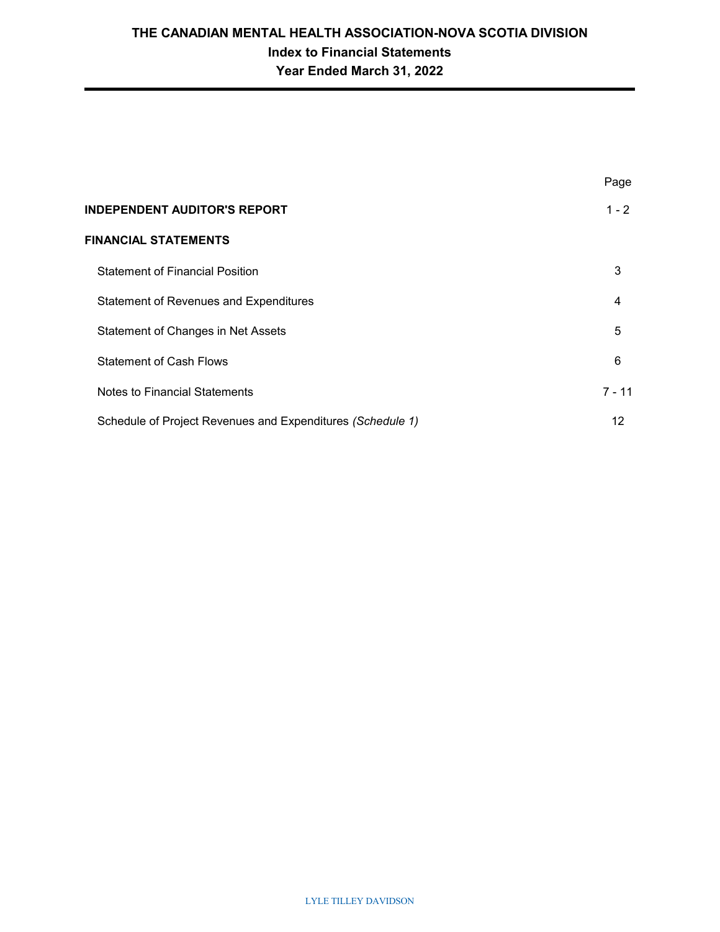|                                                            | Page     |  |  |  |  |  |  |
|------------------------------------------------------------|----------|--|--|--|--|--|--|
| <b>INDEPENDENT AUDITOR'S REPORT</b>                        |          |  |  |  |  |  |  |
| <b>FINANCIAL STATEMENTS</b>                                |          |  |  |  |  |  |  |
| <b>Statement of Financial Position</b>                     | 3        |  |  |  |  |  |  |
| <b>Statement of Revenues and Expenditures</b>              | 4        |  |  |  |  |  |  |
| Statement of Changes in Net Assets                         | 5        |  |  |  |  |  |  |
| <b>Statement of Cash Flows</b>                             | 6        |  |  |  |  |  |  |
| Notes to Financial Statements                              | $7 - 11$ |  |  |  |  |  |  |
| Schedule of Project Revenues and Expenditures (Schedule 1) | 12       |  |  |  |  |  |  |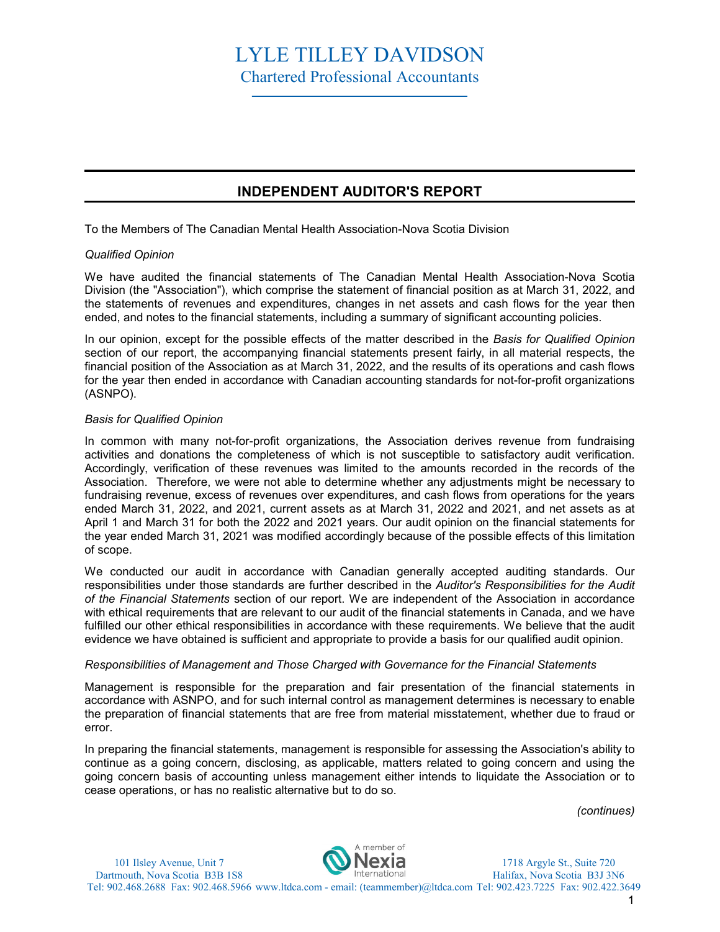## **INDEPENDENT AUDITOR'S REPORT**

To the Members of The Canadian Mental Health Association-Nova Scotia Division

#### *Qualified Opinion*

We have audited the financial statements of The Canadian Mental Health Association-Nova Scotia Division (the "Association"), which comprise the statement of financial position as at March 31, 2022, and the statements of revenues and expenditures, changes in net assets and cash flows for the year then ended, and notes to the financial statements, including a summary of significant accounting policies.

In our opinion, except for the possible effects of the matter described in the *Basis for Qualified Opinion* section of our report, the accompanying financial statements present fairly, in all material respects, the financial position of the Association as at March 31, 2022, and the results of its operations and cash flows for the year then ended in accordance with Canadian accounting standards for not-for-profit organizations (ASNPO).

#### *Basis for Qualified Opinion*

In common with many not-for-profit organizations, the Association derives revenue from fundraising activities and donations the completeness of which is not susceptible to satisfactory audit verification. Accordingly, verification of these revenues was limited to the amounts recorded in the records of the Association. Therefore, we were not able to determine whether any adjustments might be necessary to fundraising revenue, excess of revenues over expenditures, and cash flows from operations for the years ended March 31, 2022, and 2021, current assets as at March 31, 2022 and 2021, and net assets as at April 1 and March 31 for both the 2022 and 2021 years. Our audit opinion on the financial statements for the year ended March 31, 2021 was modified accordingly because of the possible effects of this limitation of scope.

We conducted our audit in accordance with Canadian generally accepted auditing standards. Our responsibilities under those standards are further described in the *Auditor's Responsibilities for the Audit of the Financial Statements* section of our report. We are independent of the Association in accordance with ethical requirements that are relevant to our audit of the financial statements in Canada, and we have fulfilled our other ethical responsibilities in accordance with these requirements. We believe that the audit evidence we have obtained is sufficient and appropriate to provide a basis for our qualified audit opinion.

#### *Responsibilities of Management and Those Charged with Governance for the Financial Statements*

Management is responsible for the preparation and fair presentation of the financial statements in accordance with ASNPO, and for such internal control as management determines is necessary to enable the preparation of financial statements that are free from material misstatement, whether due to fraud or error.

In preparing the financial statements, management is responsible for assessing the Association's ability to continue as a going concern, disclosing, as applicable, matters related to going concern and using the going concern basis of accounting unless management either intends to liquidate the Association or to cease operations, or has no realistic alternative but to do so.

*(continues)*

Nexia 101 Ilsley Avenue, Unit 7 1718 Argyle St., Suite 720 International Dartmouth, Nova Scotia B3B 1S8 Halifax, Nova Scotia B3J 3N6 Tel: 902.468.2688 Fax: 902.468.5966 www.ltdca.com - email: (teammember)@ltdca.com Tel: 902.423.7225 Fax: 902.422.3649

member of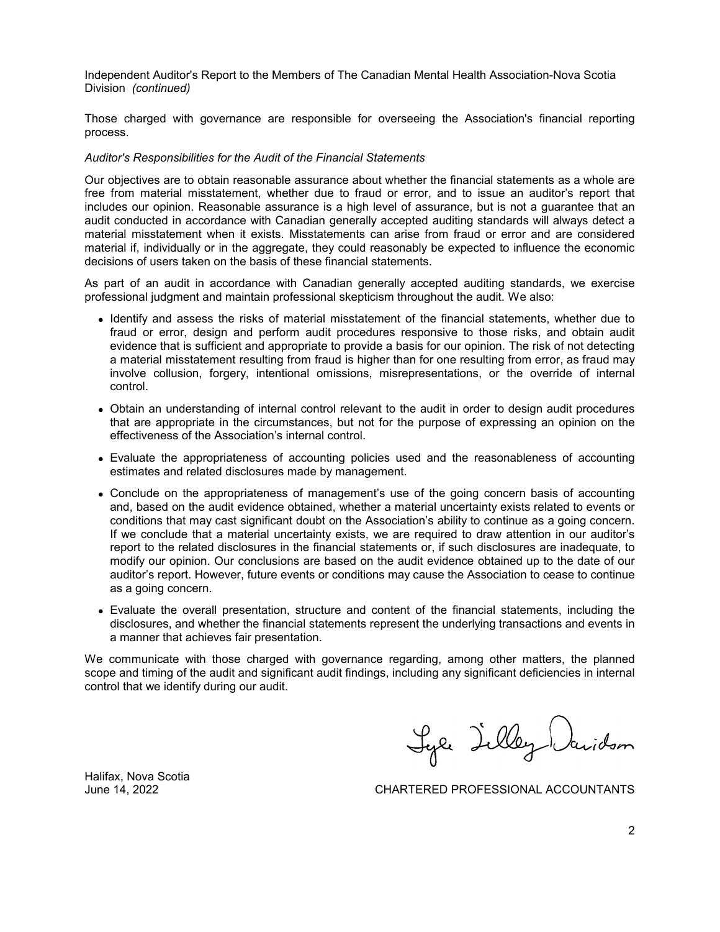Independent Auditor's Report to the Members of The Canadian Mental Health Association-Nova Scotia Division *(continued)*

Those charged with governance are responsible for overseeing the Association's financial reporting process.

#### *Auditor's Responsibilities for the Audit of the Financial Statements*

Our objectives are to obtain reasonable assurance about whether the financial statements as a whole are free from material misstatement, whether due to fraud or error, and to issue an auditor's report that includes our opinion. Reasonable assurance is a high level of assurance, but is not a guarantee that an audit conducted in accordance with Canadian generally accepted auditing standards will always detect a material misstatement when it exists. Misstatements can arise from fraud or error and are considered material if, individually or in the aggregate, they could reasonably be expected to influence the economic decisions of users taken on the basis of these financial statements.

As part of an audit in accordance with Canadian generally accepted auditing standards, we exercise professional judgment and maintain professional skepticism throughout the audit. We also:

- Identify and assess the risks of material misstatement of the financial statements, whether due to fraud or error, design and perform audit procedures responsive to those risks, and obtain audit evidence that is sufficient and appropriate to provide a basis for our opinion. The risk of not detecting a material misstatement resulting from fraud is higher than for one resulting from error, as fraud may involve collusion, forgery, intentional omissions, misrepresentations, or the override of internal control.
- Obtain an understanding of internal control relevant to the audit in order to design audit procedures that are appropriate in the circumstances, but not for the purpose of expressing an opinion on the effectiveness of the Association's internal control.
- Evaluate the appropriateness of accounting policies used and the reasonableness of accounting estimates and related disclosures made by management.
- Conclude on the appropriateness of management's use of the going concern basis of accounting and, based on the audit evidence obtained, whether a material uncertainty exists related to events or conditions that may cast significant doubt on the Association's ability to continue as a going concern. If we conclude that a material uncertainty exists, we are required to draw attention in our auditor's report to the related disclosures in the financial statements or, if such disclosures are inadequate, to modify our opinion. Our conclusions are based on the audit evidence obtained up to the date of our auditor's report. However, future events or conditions may cause the Association to cease to continue as a going concern.
- Evaluate the overall presentation, structure and content of the financial statements, including the disclosures, and whether the financial statements represent the underlying transactions and events in a manner that achieves fair presentation.

We communicate with those charged with governance regarding, among other matters, the planned scope and timing of the audit and significant audit findings, including any significant deficiencies in internal control that we identify during our audit.

Lyle Tilley Varidson

Halifax, Nova Scotia

June 14, 2022 CHARTERED PROFESSIONAL ACCOUNTANTS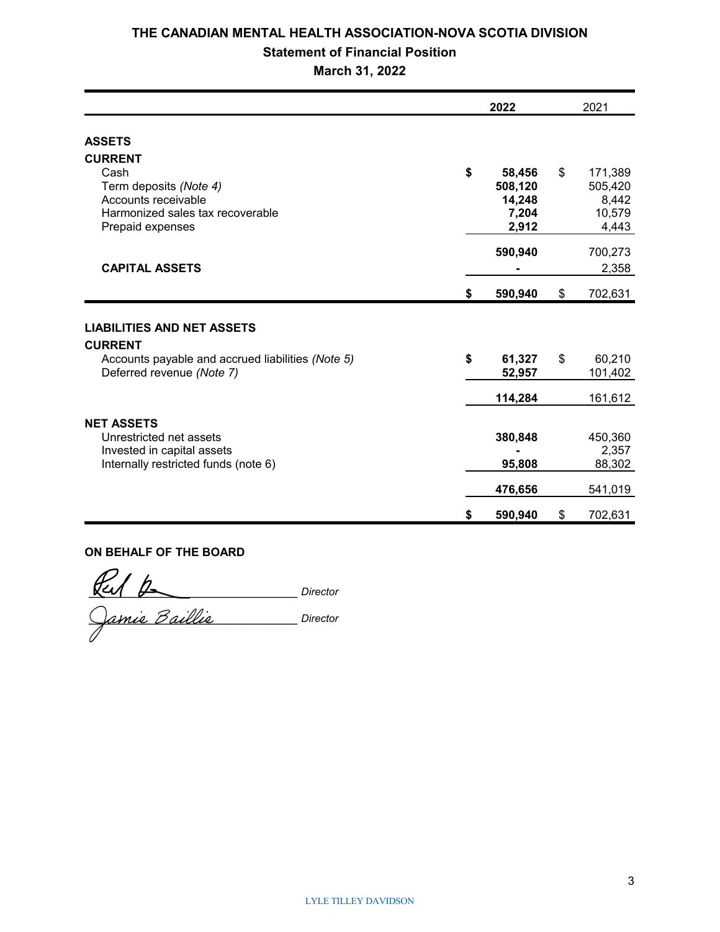# **THE CANADIAN MENTAL HEALTH ASSOCIATION-NOVA SCOTIA DIVISION**

## **Statement of Financial Position**

**March 31, 2022**

|                                                                                                                                 | 2022                                                | 2021                                                 |
|---------------------------------------------------------------------------------------------------------------------------------|-----------------------------------------------------|------------------------------------------------------|
| <b>ASSETS</b>                                                                                                                   |                                                     |                                                      |
| <b>CURRENT</b><br>Cash<br>Term deposits (Note 4)<br>Accounts receivable<br>Harmonized sales tax recoverable<br>Prepaid expenses | \$<br>58,456<br>508,120<br>14,248<br>7,204<br>2,912 | \$<br>171,389<br>505,420<br>8,442<br>10,579<br>4,443 |
| <b>CAPITAL ASSETS</b>                                                                                                           | 590,940                                             | 700,273<br>2,358                                     |
|                                                                                                                                 | \$<br>590,940                                       | \$<br>702,631                                        |
| <b>LIABILITIES AND NET ASSETS</b><br><b>CURRENT</b><br>Accounts payable and accrued liabilities (Note 5)                        | \$<br>61,327<br>52,957                              | \$<br>60,210<br>101,402                              |
| Deferred revenue (Note 7)                                                                                                       | 114,284                                             | 161,612                                              |
| <b>NET ASSETS</b><br>Unrestricted net assets<br>Invested in capital assets<br>Internally restricted funds (note 6)              | 380,848<br>95,808<br>476,656                        | 450,360<br>2,357<br>88,302<br>541,019                |
|                                                                                                                                 | \$<br>590,940                                       | \$<br>702,631                                        |

## **ON BEHALF OF THE BOARD**

\_\_\_\_\_\_\_\_\_\_\_\_\_\_\_\_\_\_\_\_\_\_\_\_\_\_\_\_\_ *Director* \_\_\_\_\_\_\_\_\_\_\_\_\_\_\_\_\_\_\_\_\_\_\_\_\_\_\_\_\_ *Director*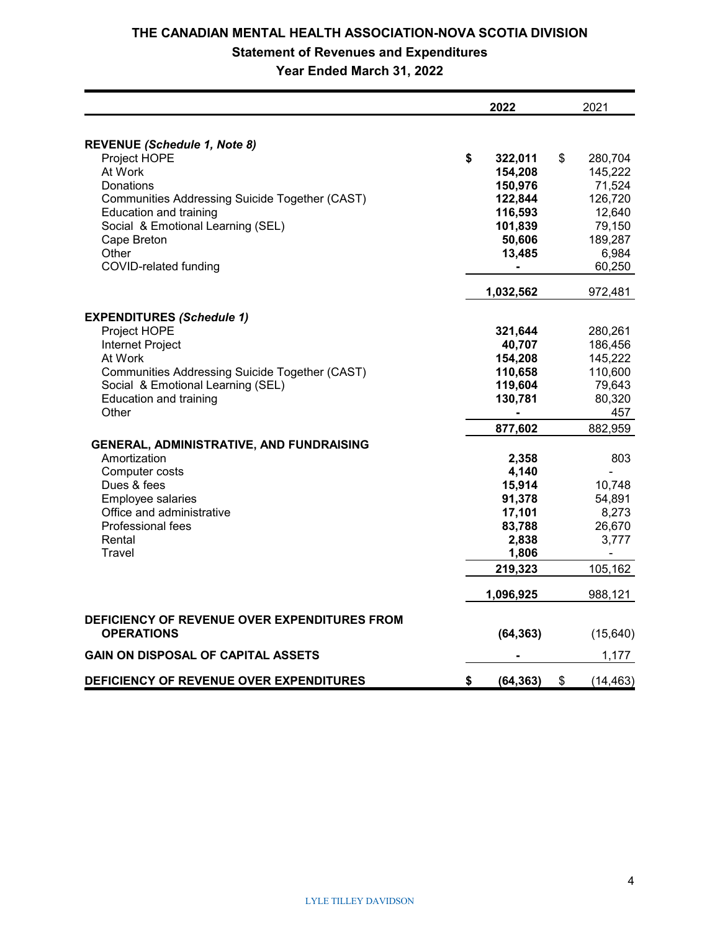## **THE CANADIAN MENTAL HEALTH ASSOCIATION-NOVA SCOTIA DIVISION**

## **Statement of Revenues and Expenditures**

**Year Ended March 31, 2022**

|                                                | 2022            | 2021            |
|------------------------------------------------|-----------------|-----------------|
| REVENUE (Schedule 1, Note 8)                   |                 |                 |
| Project HOPE                                   | \$<br>322,011   | \$<br>280,704   |
| At Work                                        | 154,208         | 145,222         |
| Donations                                      | 150,976         | 71,524          |
|                                                | 122,844         | 126,720         |
| Communities Addressing Suicide Together (CAST) |                 |                 |
| <b>Education and training</b>                  | 116,593         | 12,640          |
| Social & Emotional Learning (SEL)              | 101,839         | 79,150          |
| Cape Breton                                    | 50,606          | 189,287         |
| Other                                          | 13,485          | 6,984           |
| COVID-related funding                          |                 | 60,250          |
|                                                | 1,032,562       | 972,481         |
| <b>EXPENDITURES (Schedule 1)</b>               |                 |                 |
| Project HOPE                                   | 321,644         | 280,261         |
| Internet Project                               | 40,707          | 186,456         |
| At Work                                        | 154,208         | 145,222         |
|                                                | 110,658         | 110,600         |
| Communities Addressing Suicide Together (CAST) |                 |                 |
| Social & Emotional Learning (SEL)              | 119,604         | 79,643          |
| <b>Education and training</b>                  | 130,781         | 80,320          |
| Other                                          |                 | 457             |
|                                                | 877,602         | 882,959         |
| GENERAL, ADMINISTRATIVE, AND FUNDRAISING       |                 |                 |
| Amortization                                   | 2,358           | 803             |
| Computer costs                                 | 4,140           |                 |
| Dues & fees                                    | 15,914          | 10,748          |
| Employee salaries                              | 91,378          | 54,891          |
| Office and administrative                      | 17,101          | 8,273           |
| Professional fees                              | 83,788          | 26,670          |
| Rental                                         | 2,838           | 3,777           |
| Travel                                         | 1,806           | $\blacksquare$  |
|                                                | 219,323         | 105,162         |
|                                                | 1,096,925       | 988,121         |
| DEFICIENCY OF REVENUE OVER EXPENDITURES FROM   |                 |                 |
| <b>OPERATIONS</b>                              | (64, 363)       | (15, 640)       |
| <b>GAIN ON DISPOSAL OF CAPITAL ASSETS</b>      |                 | 1,177           |
| DEFICIENCY OF REVENUE OVER EXPENDITURES        | \$<br>(64, 363) | \$<br>(14, 463) |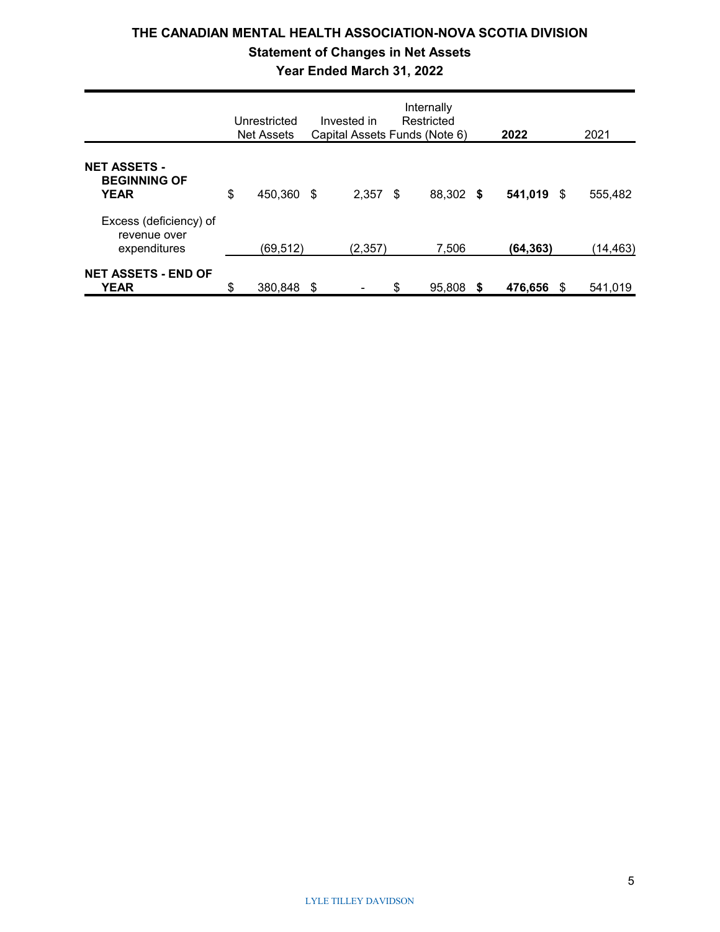## **THE CANADIAN MENTAL HEALTH ASSOCIATION-NOVA SCOTIA DIVISION Statement of Changes in Net Assets Year Ended March 31, 2022**

|                                                           | Unrestricted<br><b>Net Assets</b> | Invested in<br>Capital Assets Funds (Note 6) | Internally<br>Restricted |      | 2022            | 2021      |
|-----------------------------------------------------------|-----------------------------------|----------------------------------------------|--------------------------|------|-----------------|-----------|
| <b>NET ASSETS -</b><br><b>BEGINNING OF</b><br><b>YEAR</b> | \$<br>450,360 \$                  | 2,357<br>-\$                                 | 88,302                   | - \$ | 541,019<br>- \$ | 555,482   |
| Excess (deficiency) of<br>revenue over<br>expenditures    | (69, 512)                         | (2, 357)                                     | 7,506                    |      | (64, 363)       | (14, 463) |
| <b>NET ASSETS - END OF</b><br><b>YEAR</b>                 | \$<br>380,848                     | \$<br>\$                                     | 95.808                   | \$   | 476.656         | 541.019   |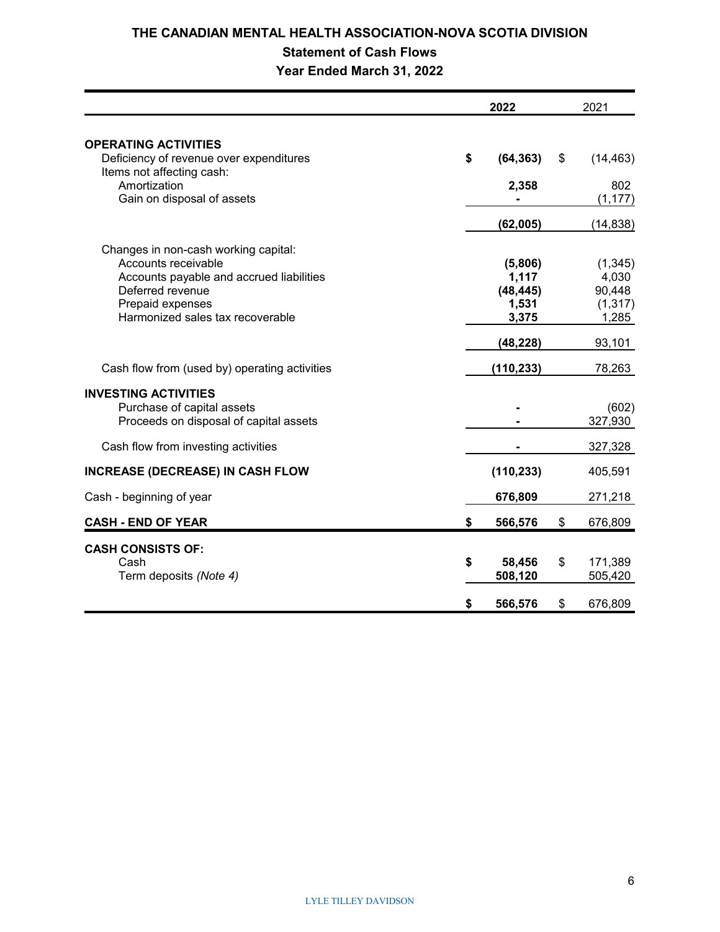# **THE CANADIAN MENTAL HEALTH ASSOCIATION-NOVA SCOTIA DIVISION Statement of Cash Flows**

**Year Ended March 31, 2022**

|                                                                                                                                                 | 2022                                   | 2021                                    |
|-------------------------------------------------------------------------------------------------------------------------------------------------|----------------------------------------|-----------------------------------------|
| <b>OPERATING ACTIVITIES</b><br>Deficiency of revenue over expenditures                                                                          | \$<br>(64, 363)                        | \$<br>(14, 463)                         |
| Items not affecting cash:<br>Amortization<br>Gain on disposal of assets                                                                         | 2,358                                  | 802<br>(1, 177)                         |
|                                                                                                                                                 | (62,005)                               | (14, 838)                               |
| Changes in non-cash working capital:<br>Accounts receivable<br>Accounts payable and accrued liabilities<br>Deferred revenue<br>Prepaid expenses | (5,806)<br>1,117<br>(48, 445)<br>1,531 | (1, 345)<br>4,030<br>90,448<br>(1, 317) |
| Harmonized sales tax recoverable                                                                                                                | 3,375                                  | 1,285                                   |
|                                                                                                                                                 | (48, 228)                              | 93,101                                  |
| Cash flow from (used by) operating activities                                                                                                   | (110, 233)                             | 78,263                                  |
| <b>INVESTING ACTIVITIES</b><br>Purchase of capital assets<br>Proceeds on disposal of capital assets                                             |                                        | (602)<br>327,930                        |
| Cash flow from investing activities                                                                                                             |                                        | 327,328                                 |
| <b>INCREASE (DECREASE) IN CASH FLOW</b>                                                                                                         | (110, 233)                             | 405,591                                 |
| Cash - beginning of year                                                                                                                        | 676,809                                | 271,218                                 |
| <b>CASH - END OF YEAR</b>                                                                                                                       | \$<br>566,576                          | \$<br>676,809                           |
| <b>CASH CONSISTS OF:</b><br>Cash<br>Term deposits (Note 4)                                                                                      | \$<br>58,456<br>508,120                | \$<br>171,389<br>505,420                |
|                                                                                                                                                 | \$<br>566,576                          | \$<br>676,809                           |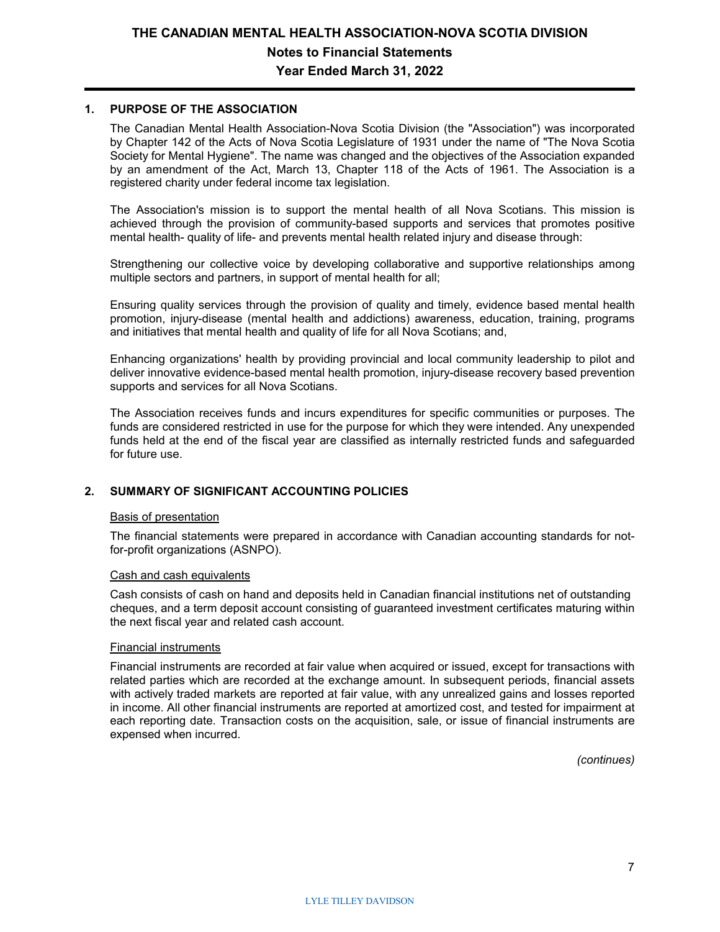#### **1. PURPOSE OF THE ASSOCIATION**

The Canadian Mental Health Association-Nova Scotia Division (the "Association") was incorporated by Chapter 142 of the Acts of Nova Scotia Legislature of 1931 under the name of "The Nova Scotia Society for Mental Hygiene". The name was changed and the objectives of the Association expanded by an amendment of the Act, March 13, Chapter 118 of the Acts of 1961. The Association is a registered charity under federal income tax legislation.

The Association's mission is to support the mental health of all Nova Scotians. This mission is achieved through the provision of community-based supports and services that promotes positive mental health- quality of life- and prevents mental health related injury and disease through:

Strengthening our collective voice by developing collaborative and supportive relationships among multiple sectors and partners, in support of mental health for all;

Ensuring quality services through the provision of quality and timely, evidence based mental health promotion, injury-disease (mental health and addictions) awareness, education, training, programs and initiatives that mental health and quality of life for all Nova Scotians; and,

Enhancing organizations' health by providing provincial and local community leadership to pilot and deliver innovative evidence-based mental health promotion, injury-disease recovery based prevention supports and services for all Nova Scotians.

The Association receives funds and incurs expenditures for specific communities or purposes. The funds are considered restricted in use for the purpose for which they were intended. Any unexpended funds held at the end of the fiscal year are classified as internally restricted funds and safeguarded for future use.

### **2. SUMMARY OF SIGNIFICANT ACCOUNTING POLICIES**

#### Basis of presentation

The financial statements were prepared in accordance with Canadian accounting standards for notfor-profit organizations (ASNPO).

#### Cash and cash equivalents

Cash consists of cash on hand and deposits held in Canadian financial institutions net of outstanding cheques, and a term deposit account consisting of guaranteed investment certificates maturing within the next fiscal year and related cash account.

#### Financial instruments

Financial instruments are recorded at fair value when acquired or issued, except for transactions with related parties which are recorded at the exchange amount. In subsequent periods, financial assets with actively traded markets are reported at fair value, with any unrealized gains and losses reported in income. All other financial instruments are reported at amortized cost, and tested for impairment at each reporting date. Transaction costs on the acquisition, sale, or issue of financial instruments are expensed when incurred.

*(continues)*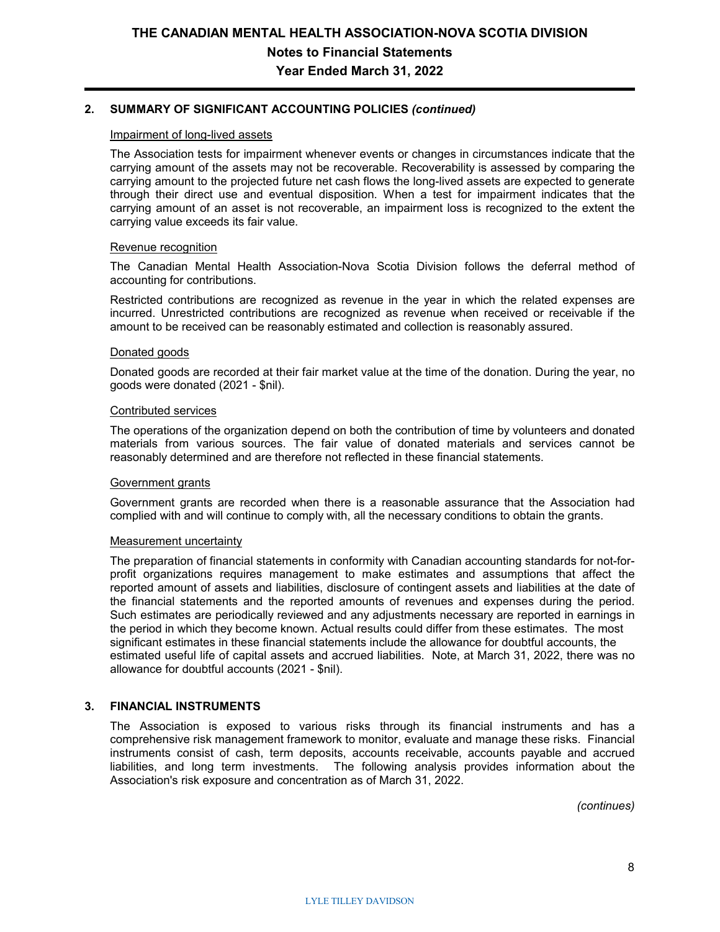#### **2. SUMMARY OF SIGNIFICANT ACCOUNTING POLICIES** *(continued)*

#### Impairment of long-lived assets

The Association tests for impairment whenever events or changes in circumstances indicate that the carrying amount of the assets may not be recoverable. Recoverability is assessed by comparing the carrying amount to the projected future net cash flows the long-lived assets are expected to generate through their direct use and eventual disposition. When a test for impairment indicates that the carrying amount of an asset is not recoverable, an impairment loss is recognized to the extent the carrying value exceeds its fair value.

#### Revenue recognition

The Canadian Mental Health Association-Nova Scotia Division follows the deferral method of accounting for contributions.

Restricted contributions are recognized as revenue in the year in which the related expenses are incurred. Unrestricted contributions are recognized as revenue when received or receivable if the amount to be received can be reasonably estimated and collection is reasonably assured.

#### Donated goods

Donated goods are recorded at their fair market value at the time of the donation. During the year, no goods were donated (2021 - \$nil).

#### Contributed services

The operations of the organization depend on both the contribution of time by volunteers and donated materials from various sources. The fair value of donated materials and services cannot be reasonably determined and are therefore not reflected in these financial statements.

#### Government grants

Government grants are recorded when there is a reasonable assurance that the Association had complied with and will continue to comply with, all the necessary conditions to obtain the grants.

#### Measurement uncertainty

The preparation of financial statements in conformity with Canadian accounting standards for not-forprofit organizations requires management to make estimates and assumptions that affect the reported amount of assets and liabilities, disclosure of contingent assets and liabilities at the date of the financial statements and the reported amounts of revenues and expenses during the period. Such estimates are periodically reviewed and any adjustments necessary are reported in earnings in the period in which they become known. Actual results could differ from these estimates. The most significant estimates in these financial statements include the allowance for doubtful accounts, the estimated useful life of capital assets and accrued liabilities. Note, at March 31, 2022, there was no allowance for doubtful accounts (2021 - \$nil).

#### **3. FINANCIAL INSTRUMENTS**

The Association is exposed to various risks through its financial instruments and has a comprehensive risk management framework to monitor, evaluate and manage these risks. Financial instruments consist of cash, term deposits, accounts receivable, accounts payable and accrued liabilities, and long term investments. The following analysis provides information about the Association's risk exposure and concentration as of March 31, 2022.

*(continues)*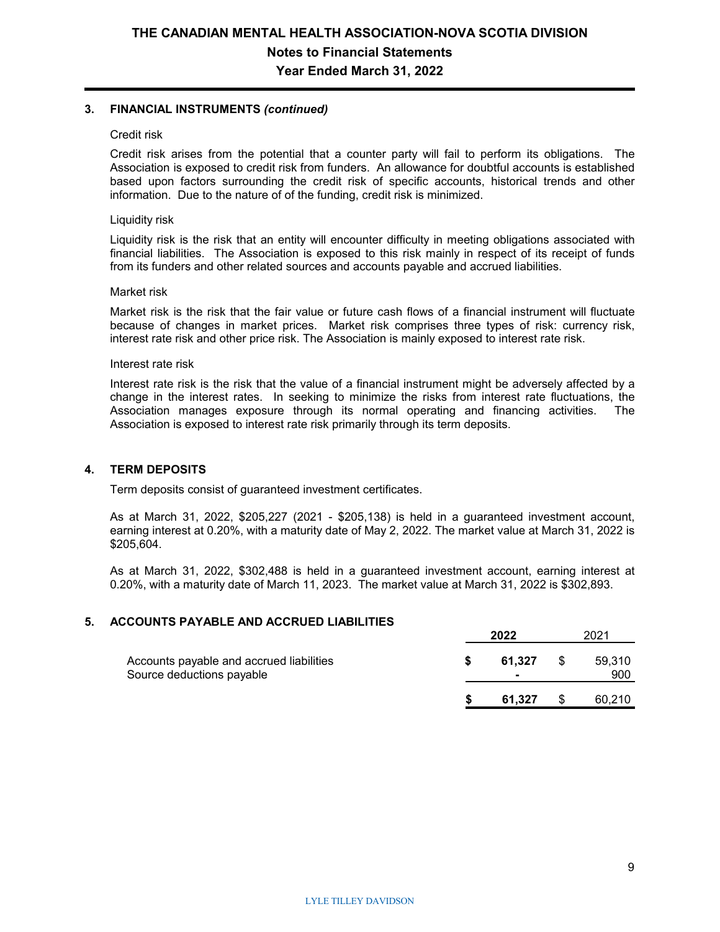#### **3. FINANCIAL INSTRUMENTS** *(continued)*

#### Credit risk

Credit risk arises from the potential that a counter party will fail to perform its obligations. The Association is exposed to credit risk from funders. An allowance for doubtful accounts is established based upon factors surrounding the credit risk of specific accounts, historical trends and other information. Due to the nature of of the funding, credit risk is minimized.

#### Liquidity risk

Liquidity risk is the risk that an entity will encounter difficulty in meeting obligations associated with financial liabilities. The Association is exposed to this risk mainly in respect of its receipt of funds from its funders and other related sources and accounts payable and accrued liabilities.

#### Market risk

Market risk is the risk that the fair value or future cash flows of a financial instrument will fluctuate because of changes in market prices. Market risk comprises three types of risk: currency risk, interest rate risk and other price risk. The Association is mainly exposed to interest rate risk.

#### Interest rate risk

Interest rate risk is the risk that the value of a financial instrument might be adversely affected by a change in the interest rates. In seeking to minimize the risks from interest rate fluctuations, the Association manages exposure through its normal operating and financing activities. The Association is exposed to interest rate risk primarily through its term deposits.

#### **4. TERM DEPOSITS**

Term deposits consist of guaranteed investment certificates.

As at March 31, 2022, \$205,227 (2021 - \$205,138) is held in a guaranteed investment account, earning interest at 0.20%, with a maturity date of May 2, 2022. The market value at March 31, 2022 is \$205,604.

As at March 31, 2022, \$302,488 is held in a guaranteed investment account, earning interest at 0.20%, with a maturity date of March 11, 2023. The market value at March 31, 2022 is \$302,893.

#### **5. ACCOUNTS PAYABLE AND ACCRUED LIABILITIES**

|                                                                       | 2022                     |      | 2021          |
|-----------------------------------------------------------------------|--------------------------|------|---------------|
| Accounts payable and accrued liabilities<br>Source deductions payable | 61.327<br>$\blacksquare$ | - \$ | 59.310<br>900 |
|                                                                       | 61.327                   |      | 60.210        |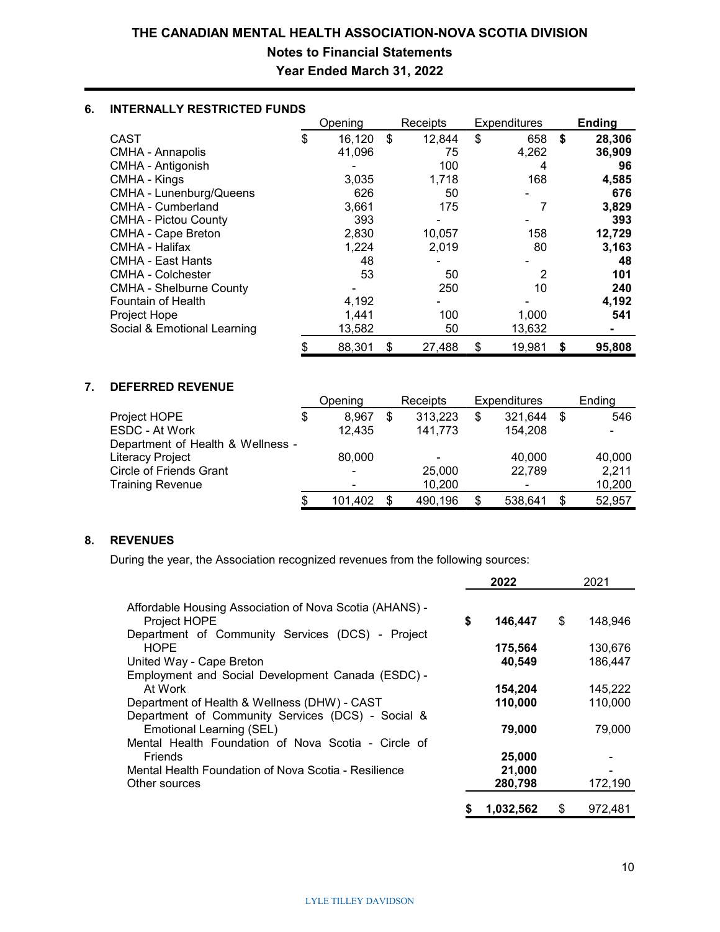### **6. INTERNALLY RESTRICTED FUNDS**

|                                | Opening      |      | Receipts | <b>Expenditures</b> | Ending       |
|--------------------------------|--------------|------|----------|---------------------|--------------|
| <b>CAST</b>                    | \$<br>16,120 | - \$ | 12,844   | \$<br>658           | \$<br>28,306 |
| <b>CMHA - Annapolis</b>        | 41,096       |      | 75       | 4,262               | 36,909       |
| CMHA - Antigonish              |              |      | 100      | 4                   | 96           |
| CMHA - Kings                   | 3,035        |      | 1,718    | 168                 | 4,585        |
| CMHA - Lunenburg/Queens        | 626          |      | 50       |                     | 676          |
| <b>CMHA - Cumberland</b>       | 3,661        |      | 175      |                     | 3,829        |
| <b>CMHA - Pictou County</b>    | 393          |      |          |                     | 393          |
| <b>CMHA - Cape Breton</b>      | 2,830        |      | 10,057   | 158                 | 12,729       |
| CMHA - Halifax                 | 1,224        |      | 2,019    | 80                  | 3,163        |
| <b>CMHA - East Hants</b>       | 48           |      |          |                     | 48           |
| <b>CMHA - Colchester</b>       | 53           |      | 50       | 2                   | 101          |
| <b>CMHA - Shelburne County</b> |              |      | 250      | 10                  | 240          |
| Fountain of Health             | 4,192        |      |          |                     | 4,192        |
| Project Hope                   | 1,441        |      | 100      | 1,000               | 541          |
| Social & Emotional Learning    | 13,582       |      | 50       | 13,632              | ۰            |
|                                | \$<br>88,301 | \$   | 27,488   | \$<br>19,981        | \$<br>95,808 |

#### **7. DEFERRED REVENUE**

|                                   | Opening        |    | Receipts       | <b>Expenditures</b> |                |      | Ending |
|-----------------------------------|----------------|----|----------------|---------------------|----------------|------|--------|
| Project HOPE                      | \$<br>8.967    | \$ | 313,223        | \$                  | 321,644        | - \$ | 546    |
| ESDC - At Work                    | 12.435         |    | 141,773        |                     | 154,208        |      | ۰      |
| Department of Health & Wellness - |                |    |                |                     |                |      |        |
| <b>Literacy Project</b>           | 80,000         |    | $\blacksquare$ |                     | 40.000         |      | 40,000 |
| <b>Circle of Friends Grant</b>    | $\blacksquare$ |    | 25,000         |                     | 22,789         |      | 2,211  |
| <b>Training Revenue</b>           | $\blacksquare$ |    | 10.200         |                     | $\blacksquare$ |      | 10,200 |
|                                   | 101.402        | S  | 490,196        | S                   | 538,641        | \$   | 52,957 |

### **8. REVENUES**

During the year, the Association recognized revenues from the following sources:

|                                                                         | 2022          |    | 2021    |
|-------------------------------------------------------------------------|---------------|----|---------|
| Affordable Housing Association of Nova Scotia (AHANS) -<br>Project HOPE | \$<br>146,447 | \$ | 148,946 |
| Department of Community Services (DCS) - Project                        |               |    |         |
| <b>HOPE</b>                                                             | 175,564       |    | 130,676 |
| United Way - Cape Breton                                                | 40,549        |    | 186,447 |
| Employment and Social Development Canada (ESDC) -                       |               |    |         |
| At Work                                                                 | 154,204       |    | 145,222 |
| Department of Health & Wellness (DHW) - CAST                            | 110,000       |    | 110,000 |
| Department of Community Services (DCS) - Social &                       |               |    |         |
| Emotional Learning (SEL)                                                | 79,000        |    | 79.000  |
| Mental Health Foundation of Nova Scotia - Circle of                     |               |    |         |
| <b>Friends</b>                                                          | 25,000        |    |         |
| Mental Health Foundation of Nova Scotia - Resilience                    | 21,000        |    |         |
| Other sources                                                           | 280,798       |    | 172,190 |
|                                                                         | 1,032,562     | S  | 972.481 |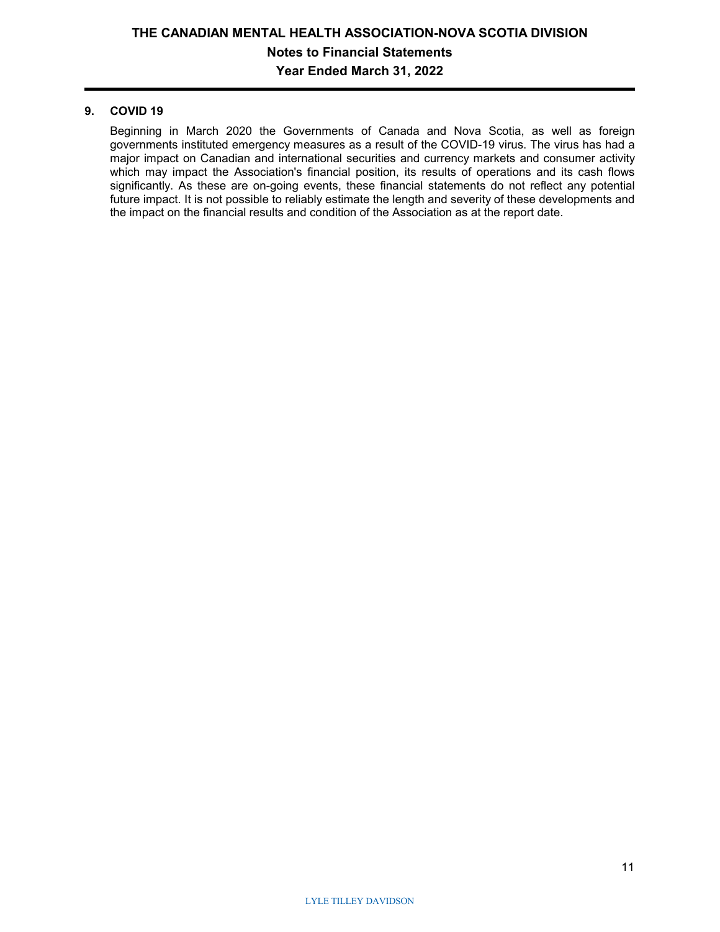## **9. COVID 19**

Beginning in March 2020 the Governments of Canada and Nova Scotia, as well as foreign governments instituted emergency measures as a result of the COVID-19 virus. The virus has had a major impact on Canadian and international securities and currency markets and consumer activity which may impact the Association's financial position, its results of operations and its cash flows significantly. As these are on-going events, these financial statements do not reflect any potential future impact. It is not possible to reliably estimate the length and severity of these developments and the impact on the financial results and condition of the Association as at the report date.